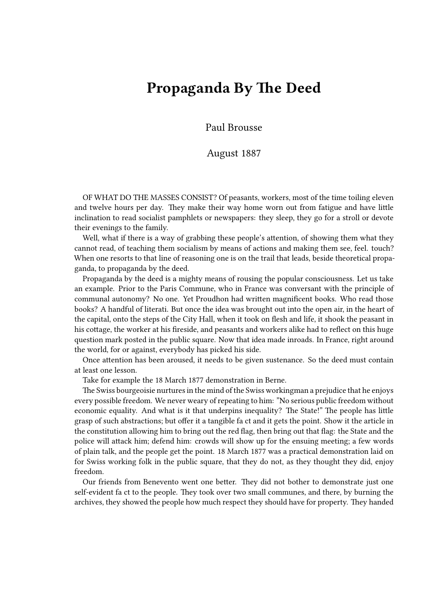## **Propaganda By The Deed**

Paul Brousse

## August 1887

OF WHAT DO THE MASSES CONSIST? Of peasants, workers, most of the time toiling eleven and twelve hours per day. They make their way home worn out from fatigue and have little inclination to read socialist pamphlets or newspapers: they sleep, they go for a stroll or devote their evenings to the family.

Well, what if there is a way of grabbing these people's attention, of showing them what they cannot read, of teaching them socialism by means of actions and making them see, feel. touch? When one resorts to that line of reasoning one is on the trail that leads, beside theoretical propaganda, to propaganda by the deed.

Propaganda by the deed is a mighty means of rousing the popular consciousness. Let us take an example. Prior to the Paris Commune, who in France was conversant with the principle of communal autonomy? No one. Yet Proudhon had written magnificent books. Who read those books? A handful of literati. But once the idea was brought out into the open air, in the heart of the capital, onto the steps of the City Hall, when it took on flesh and life, it shook the peasant in his cottage, the worker at his fireside, and peasants and workers alike had to reflect on this huge question mark posted in the public square. Now that idea made inroads. In France, right around the world, for or against, everybody has picked his side.

Once attention has been aroused, it needs to be given sustenance. So the deed must contain at least one lesson.

Take for example the 18 March 1877 demonstration in Berne.

The Swiss bourgeoisie nurtures in the mind of the Swiss workingman a prejudice that he enjoys every possible freedom. We never weary of repeating to him: "No serious public freedom without economic equality. And what is it that underpins inequality? The State!" The people has little grasp of such abstractions; but offer it a tangible fa ct and it gets the point. Show it the article in the constitution allowing him to bring out the red flag, then bring out that flag: the State and the police will attack him; defend him: crowds will show up for the ensuing meeting; a few words of plain talk, and the people get the point. 18 March 1877 was a practical demonstration laid on for Swiss working folk in the public square, that they do not, as they thought they did, enjoy freedom.

Our friends from Benevento went one better. They did not bother to demonstrate just one self-evident fa ct to the people. They took over two small communes, and there, by burning the archives, they showed the people how much respect they should have for property. They handed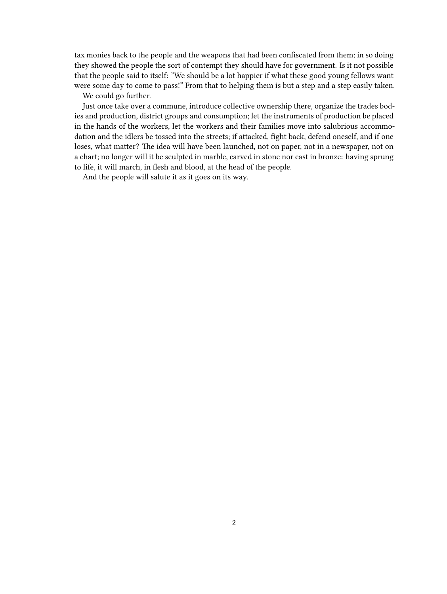tax monies back to the people and the weapons that had been confiscated from them; in so doing they showed the people the sort of contempt they should have for government. Is it not possible that the people said to itself: "We should be a lot happier if what these good young fellows want were some day to come to pass!" From that to helping them is but a step and a step easily taken.

We could go further.

Just once take over a commune, introduce collective ownership there, organize the trades bodies and production, district groups and consumption; let the instruments of production be placed in the hands of the workers, let the workers and their families move into salubrious accommodation and the idlers be tossed into the streets; if attacked, fight back, defend oneself, and if one loses, what matter? The idea will have been launched, not on paper, not in a newspaper, not on a chart; no longer will it be sculpted in marble, carved in stone nor cast in bronze: having sprung to life, it will march, in flesh and blood, at the head of the people.

And the people will salute it as it goes on its way.